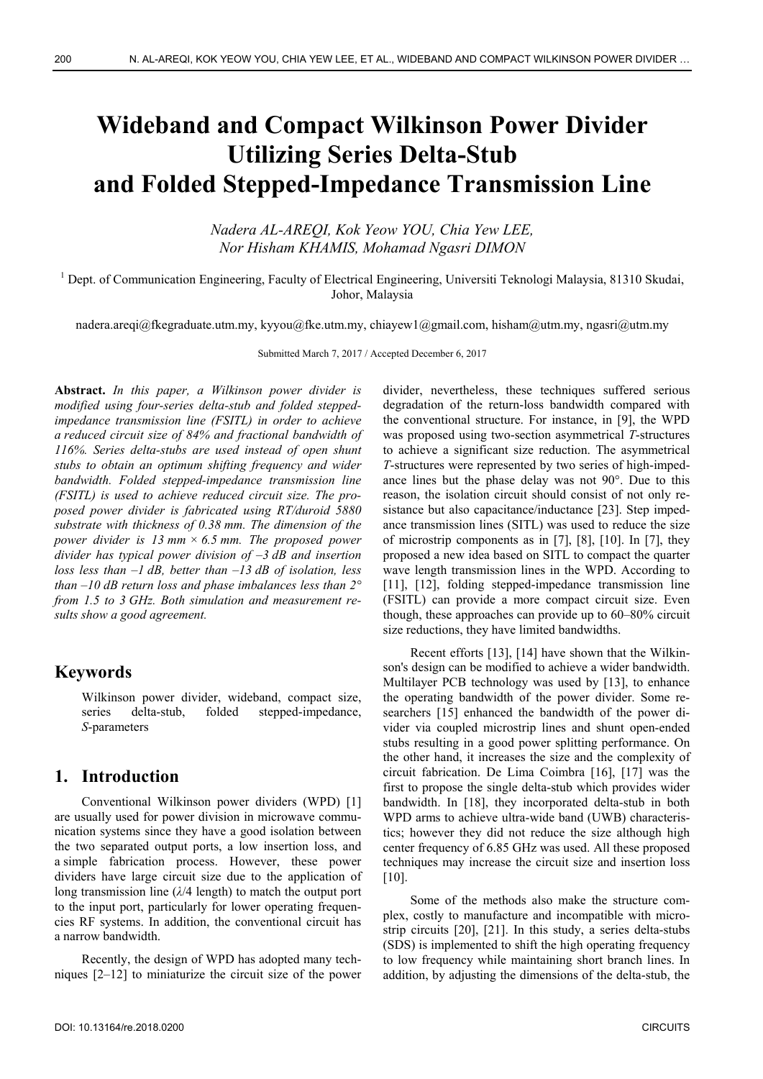# **Wideband and Compact Wilkinson Power Divider Utilizing Series Delta-Stub and Folded Stepped-Impedance Transmission Line**

*Nadera AL-AREQI, Kok Yeow YOU, Chia Yew LEE, Nor Hisham KHAMIS, Mohamad Ngasri DIMON* 

<sup>1</sup> Dept. of Communication Engineering, Faculty of Electrical Engineering, Universiti Teknologi Malaysia, 81310 Skudai, Johor, Malaysia

nadera.areqi@fkegraduate.utm.my, kyyou@fke.utm.my, chiayew1@gmail.com, hisham@utm.my, ngasri@utm.my

Submitted March 7, 2017 / Accepted December 6, 2017

**Abstract.** *In this paper, a Wilkinson power divider is modified using four-series delta-stub and folded steppedimpedance transmission line (FSITL) in order to achieve a reduced circuit size of 84% and fractional bandwidth of 116%. Series delta-stubs are used instead of open shunt stubs to obtain an optimum shifting frequency and wider bandwidth. Folded stepped-impedance transmission line (FSITL) is used to achieve reduced circuit size. The proposed power divider is fabricated using RT/duroid 5880 substrate with thickness of 0.38 mm. The dimension of the power divider is 13 mm × 6.5 mm. The proposed power divider has typical power division of –3 dB and insertion loss less than –1 dB, better than –13 dB of isolation, less than –10 dB return loss and phase imbalances less than 2° from 1.5 to 3 GHz. Both simulation and measurement results show a good agreement.* 

## **Keywords**

Wilkinson power divider, wideband, compact size, series delta-stub, folded stepped-impedance, *S*-parameters

## **1. Introduction**

Conventional Wilkinson power dividers (WPD) [1] are usually used for power division in microwave communication systems since they have a good isolation between the two separated output ports, a low insertion loss, and a simple fabrication process. However, these power dividers have large circuit size due to the application of long transmission line (*λ*/4 length) to match the output port to the input port, particularly for lower operating frequencies RF systems. In addition, the conventional circuit has a narrow bandwidth.

Recently, the design of WPD has adopted many techniques [2–12] to miniaturize the circuit size of the power divider, nevertheless, these techniques suffered serious degradation of the return-loss bandwidth compared with the conventional structure. For instance, in [9], the WPD was proposed using two-section asymmetrical *T*-structures to achieve a significant size reduction. The asymmetrical *T*-structures were represented by two series of high-impedance lines but the phase delay was not 90°. Due to this reason, the isolation circuit should consist of not only resistance but also capacitance/inductance [23]. Step impedance transmission lines (SITL) was used to reduce the size of microstrip components as in [7], [8], [10]. In [7], they proposed a new idea based on SITL to compact the quarter wave length transmission lines in the WPD. According to [11], [12], folding stepped-impedance transmission line (FSITL) can provide a more compact circuit size. Even though, these approaches can provide up to 60–80% circuit size reductions, they have limited bandwidths.

Recent efforts [13], [14] have shown that the Wilkinson's design can be modified to achieve a wider bandwidth. Multilayer PCB technology was used by [13], to enhance the operating bandwidth of the power divider. Some researchers [15] enhanced the bandwidth of the power divider via coupled microstrip lines and shunt open-ended stubs resulting in a good power splitting performance. On the other hand, it increases the size and the complexity of circuit fabrication. De Lima Coimbra [16], [17] was the first to propose the single delta-stub which provides wider bandwidth. In [18], they incorporated delta-stub in both WPD arms to achieve ultra-wide band (UWB) characteristics; however they did not reduce the size although high center frequency of 6.85 GHz was used. All these proposed techniques may increase the circuit size and insertion loss [10].

Some of the methods also make the structure complex, costly to manufacture and incompatible with microstrip circuits [20], [21]. In this study, a series delta-stubs (SDS) is implemented to shift the high operating frequency to low frequency while maintaining short branch lines. In addition, by adjusting the dimensions of the delta-stub, the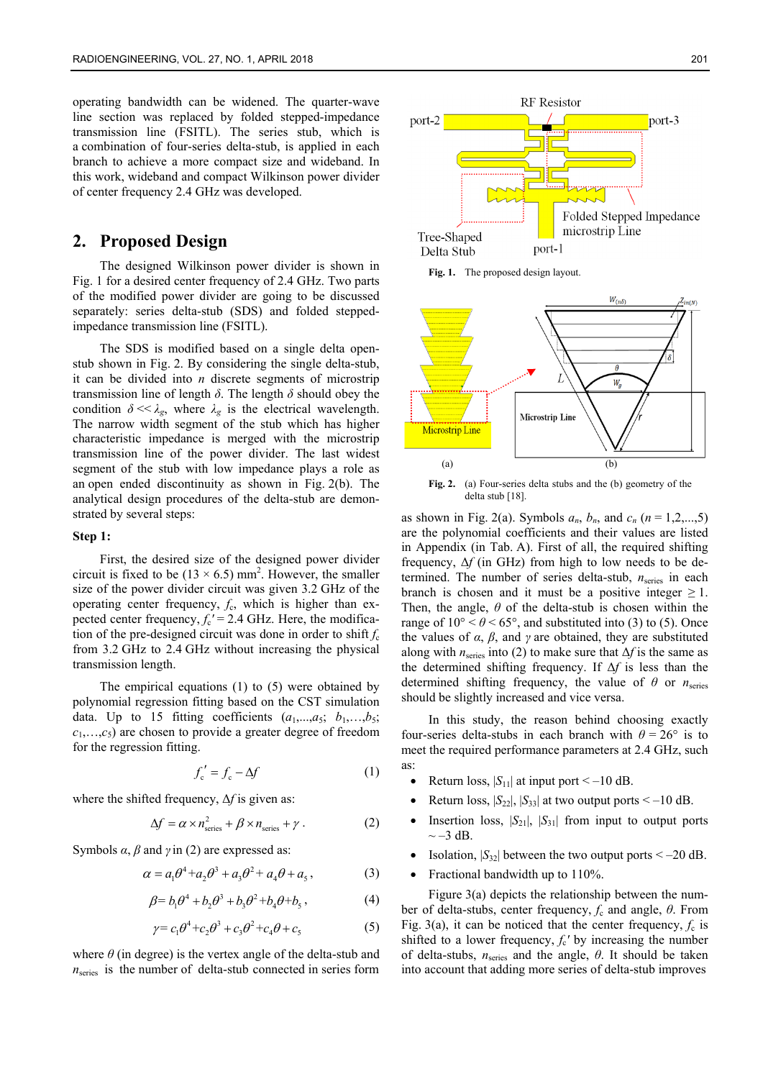operating bandwidth can be widened. The quarter-wave line section was replaced by folded stepped-impedance transmission line (FSITL). The series stub, which is a combination of four-series delta-stub, is applied in each branch to achieve a more compact size and wideband. In this work, wideband and compact Wilkinson power divider of center frequency 2.4 GHz was developed.

## **2. Proposed Design**

The designed Wilkinson power divider is shown in Fig. 1 for a desired center frequency of 2.4 GHz. Two parts of the modified power divider are going to be discussed separately: series delta-stub (SDS) and folded steppedimpedance transmission line (FSITL).

The SDS is modified based on a single delta openstub shown in Fig. 2. By considering the single delta-stub, it can be divided into *n* discrete segments of microstrip transmission line of length *δ*. The length *δ* should obey the condition  $\delta \ll \lambda_g$ , where  $\lambda_g$  is the electrical wavelength. The narrow width segment of the stub which has higher characteristic impedance is merged with the microstrip transmission line of the power divider. The last widest segment of the stub with low impedance plays a role as an open ended discontinuity as shown in Fig. 2(b). The analytical design procedures of the delta-stub are demonstrated by several steps:

#### **Step 1:**

First, the desired size of the designed power divider circuit is fixed to be  $(13 \times 6.5)$  mm<sup>2</sup>. However, the smaller size of the power divider circuit was given 3.2 GHz of the operating center frequency, *f*c, which is higher than expected center frequency,  $f_c' = 2.4$  GHz. Here, the modification of the pre-designed circuit was done in order to shift  $f_c$ from 3.2 GHz to 2.4 GHz without increasing the physical transmission length.

The empirical equations  $(1)$  to  $(5)$  were obtained by polynomial regression fitting based on the CST simulation data. Up to 15 fitting coefficients  $(a_1,...,a_5; b_1,...,b_5;$  $c_1, \ldots, c_5$  are chosen to provide a greater degree of freedom for the regression fitting.

$$
f'_{c} = f_{c} - \Delta f \tag{1}
$$

where the shifted frequency, Δ*f* is given as:

$$
\Delta f = \alpha \times n_{\text{series}}^2 + \beta \times n_{\text{series}} + \gamma \,. \tag{2}
$$

Symbols  $\alpha$ ,  $\beta$  and  $\gamma$  in (2) are expressed as:

$$
\alpha = a_1 \theta^4 + a_2 \theta^3 + a_3 \theta^2 + a_4 \theta + a_5, \qquad (3)
$$

$$
\beta = b_1 \theta^4 + b_2 \theta^3 + b_3 \theta^2 + b_4 \theta + b_5, \qquad (4)
$$

$$
\gamma = c_1 \theta^4 + c_2 \theta^3 + c_3 \theta^2 + c_4 \theta + c_5 \tag{5}
$$

where  $\theta$  (in degree) is the vertex angle of the delta-stub and  $n<sub>series</sub>$  is the number of delta-stub connected in series form



**Fig. 1.** The proposed design layout.



**Fig. 2.** (a) Four-series delta stubs and the (b) geometry of the delta stub [18].

as shown in Fig. 2(a). Symbols  $a_n$ ,  $b_n$ , and  $c_n$  ( $n = 1,2,...,5$ ) are the polynomial coefficients and their values are listed in Appendix (in Tab. A). First of all, the required shifting frequency, Δ*f* (in GHz) from high to low needs to be determined. The number of series delta-stub,  $n_{\text{series}}$  in each branch is chosen and it must be a positive integer  $\geq 1$ . Then, the angle, *θ* of the delta-stub is chosen within the range of  $10^{\circ} < \theta < 65^{\circ}$ , and substituted into (3) to (5). Once the values of  $\alpha$ ,  $\beta$ , and  $\gamma$  are obtained, they are substituted along with  $n_{\text{series}}$  into (2) to make sure that  $\Delta f$  is the same as the determined shifting frequency. If Δ*f* is less than the determined shifting frequency, the value of  $\theta$  or  $n_{series}$ should be slightly increased and vice versa.

In this study, the reason behind choosing exactly four-series delta-stubs in each branch with  $\theta = 26^{\circ}$  is to meet the required performance parameters at 2.4 GHz, such as:

- Return loss,  $|S_{11}|$  at input port < -10 dB.
- Return loss,  $|S_{22}|$ ,  $|S_{33}|$  at two output ports  $\leq -10$  dB.
- Insertion loss,  $|S_{21}|$ ,  $|S_{31}|$  from input to output ports  $\sim -3$  dB.
- Isolation,  $|S_{32}|$  between the two output ports  $\leq -20$  dB.
- Fractional bandwidth up to 110%.

Figure 3(a) depicts the relationship between the number of delta-stubs, center frequency, *f*c and angle, *θ*. From Fig. 3(a), it can be noticed that the center frequency,  $f_c$  is shifted to a lower frequency,  $f_c'$  by increasing the number of delta-stubs, *n*series and the angle, *θ*. It should be taken into account that adding more series of delta-stub improves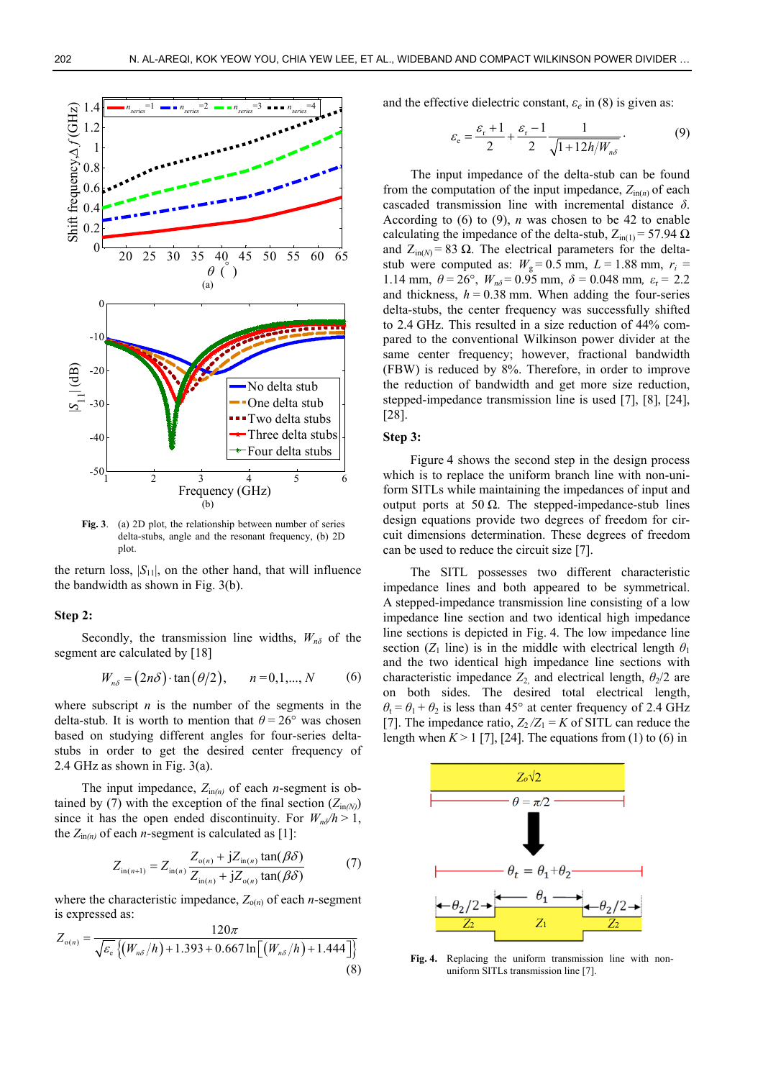

**Fig. 3**. (a) 2D plot, the relationship between number of series delta-stubs, angle and the resonant frequency, (b) 2D plot.

the return loss,  $|S_{11}|$ , on the other hand, that will influence the bandwidth as shown in Fig. 3(b).

#### **Step 2:**

Secondly, the transmission line widths,  $W_{n\delta}$  of the segment are calculated by [18]

$$
W_{n\delta} = (2n\delta) \cdot \tan(\theta/2), \quad n = 0, 1, ..., N
$$
 (6)

where subscript  $n$  is the number of the segments in the delta-stub. It is worth to mention that  $\theta = 26^{\circ}$  was chosen based on studying different angles for four-series deltastubs in order to get the desired center frequency of 2.4 GHz as shown in Fig. 3(a).

The input impedance,  $Z_{\text{in}(n)}$  of each *n*-segment is obtained by (7) with the exception of the final section  $(Z_{\text{in}(N)})$ since it has the open ended discontinuity. For  $W_{n\delta}/h > 1$ , the  $Z_{\text{in}(n)}$  of each *n*-segment is calculated as [1]:

$$
Z_{\text{in}(n+1)} = Z_{\text{in}(n)} \frac{Z_{\text{o}(n)} + jZ_{\text{in}(n)} \tan(\beta \delta)}{Z_{\text{in}(n)} + jZ_{\text{o}(n)} \tan(\beta \delta)} \tag{7}
$$

where the characteristic impedance,  $Z_{o(n)}$  of each *n*-segment is expressed as:

 $120$ 

$$
Z_{o(n)} = \frac{120\pi}{\sqrt{\varepsilon_{e}}\left\{ (W_{n\delta}/h) + 1.393 + 0.667 \ln\left[ (W_{n\delta}/h) + 1.444 \right] \right\}}
$$
(8)

and the effective dielectric constant,  $\varepsilon_e$  in (8) is given as:

$$
\varepsilon_{\rm e} = \frac{\varepsilon_{\rm r} + 1}{2} + \frac{\varepsilon_{\rm r} - 1}{2} \frac{1}{\sqrt{1 + 12h/W_{n\delta}}}.
$$
(9)

The input impedance of the delta-stub can be found from the computation of the input impedance,  $Z_{\text{in}(n)}$  of each cascaded transmission line with incremental distance *δ*. According to (6) to (9), *n* was chosen to be 42 to enable calculating the impedance of the delta-stub,  $Z_{in(1)} = 57.94 \Omega$ and  $Z_{in(N)}$  = 83 Ω. The electrical parameters for the deltastub were computed as:  $W_g = 0.5$  mm,  $L = 1.88$  mm,  $r_i =$ 1.14 mm,  $\theta = 26^{\circ}$ ,  $W_{n\delta} = 0.95$  mm,  $\delta = 0.048$  mm,  $\varepsilon_r = 2.2$ and thickness,  $h = 0.38$  mm. When adding the four-series delta-stubs, the center frequency was successfully shifted to 2.4 GHz. This resulted in a size reduction of 44% compared to the conventional Wilkinson power divider at the same center frequency; however, fractional bandwidth (FBW) is reduced by 8%. Therefore, in order to improve the reduction of bandwidth and get more size reduction, stepped-impedance transmission line is used [7], [8], [24], [28].

#### **Step 3:**

Figure 4 shows the second step in the design process which is to replace the uniform branch line with non-uniform SITLs while maintaining the impedances of input and output ports at 50 Ω. The stepped-impedance-stub lines design equations provide two degrees of freedom for circuit dimensions determination. These degrees of freedom can be used to reduce the circuit size [7].

The SITL possesses two different characteristic impedance lines and both appeared to be symmetrical. A stepped-impedance transmission line consisting of a low impedance line section and two identical high impedance line sections is depicted in Fig. 4. The low impedance line section ( $Z_1$  line) is in the middle with electrical length  $\theta_1$ and the two identical high impedance line sections with characteristic impedance  $Z_2$ , and electrical length,  $\theta_2/2$  are on both sides. The desired total electrical length,  $\theta_t = \theta_1 + \theta_2$  is less than 45° at center frequency of 2.4 GHz [7]. The impedance ratio,  $Z_2/Z_1 = K$  of SITL can reduce the length when  $K > 1$  [7], [24]. The equations from (1) to (6) in



**Fig. 4.** Replacing the uniform transmission line with nonuniform SITLs transmission line [7].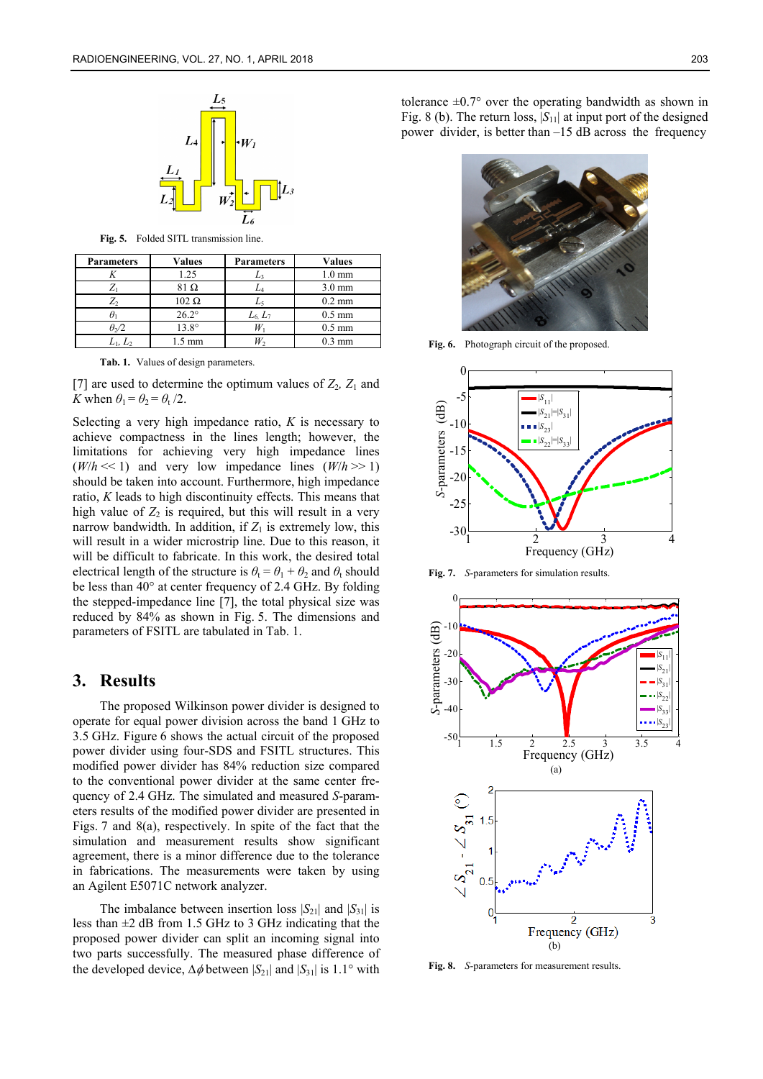

**Fig. 5.** Folded SITL transmission line.

| <b>Parameters</b>     | <b>Values</b>  | <b>Parameters</b> | <b>Values</b>    |
|-----------------------|----------------|-------------------|------------------|
|                       | 1.25           | L٩                | $1.0 \text{ mm}$ |
|                       | 31 O           | Lл                | $3.0 \text{ mm}$ |
| Z,                    | $102 \Omega$   | L,                | $0.2 \text{ mm}$ |
|                       | $26.2^\circ$   | $L_6$ , $L_7$     | $0.5 \text{ mm}$ |
| $\theta$ <sub>2</sub> | $13.8^{\circ}$ |                   | $0.5 \text{ mm}$ |
|                       | 1.5 mm         |                   | $0.3 \text{ mm}$ |

**Tab. 1.** Values of design parameters.

[7] are used to determine the optimum values of  $Z_2$ ,  $Z_1$  and *K* when  $\theta_1 = \theta_2 = \theta_1 / 2$ .

Selecting a very high impedance ratio, *K* is necessary to achieve compactness in the lines length; however, the limitations for achieving very high impedance lines  $(W/h \ll 1)$  and very low impedance lines  $(W/h \gg 1)$ should be taken into account. Furthermore, high impedance ratio, *K* leads to high discontinuity effects. This means that high value of  $Z_2$  is required, but this will result in a very narrow bandwidth. In addition, if  $Z_1$  is extremely low, this will result in a wider microstrip line. Due to this reason, it will be difficult to fabricate. In this work, the desired total electrical length of the structure is  $\theta_t = \theta_1 + \theta_2$  and  $\theta_t$  should be less than 40° at center frequency of 2.4 GHz. By folding the stepped-impedance line [7], the total physical size was reduced by 84% as shown in Fig. 5. The dimensions and parameters of FSITL are tabulated in Tab. 1.

#### **3. Results**

The proposed Wilkinson power divider is designed to operate for equal power division across the band 1 GHz to 3.5 GHz. Figure 6 shows the actual circuit of the proposed power divider using four-SDS and FSITL structures. This modified power divider has 84% reduction size compared to the conventional power divider at the same center frequency of 2.4 GHz. The simulated and measured *S*-parameters results of the modified power divider are presented in Figs. 7 and 8(a), respectively. In spite of the fact that the simulation and measurement results show significant agreement, there is a minor difference due to the tolerance in fabrications. The measurements were taken by using an Agilent E5071C network analyzer.

The imbalance between insertion loss  $|S_{21}|$  and  $|S_{31}|$  is less than  $\pm 2$  dB from 1.5 GHz to 3 GHz indicating that the proposed power divider can split an incoming signal into two parts successfully. The measured phase difference of the developed device,  $\Delta \phi$  between  $|S_{21}|$  and  $|S_{31}|$  is 1.1° with

tolerance  $\pm 0.7^{\circ}$  over the operating bandwidth as shown in Fig. 8 (b). The return loss,  $|S_{11}|$  at input port of the designed power divider, is better than –15 dB across the frequency



**Fig. 6.** Photograph circuit of the proposed.



**Fig. 7.** *S*-parameters for simulation results.



**Fig. 8.** *S*-parameters for measurement results.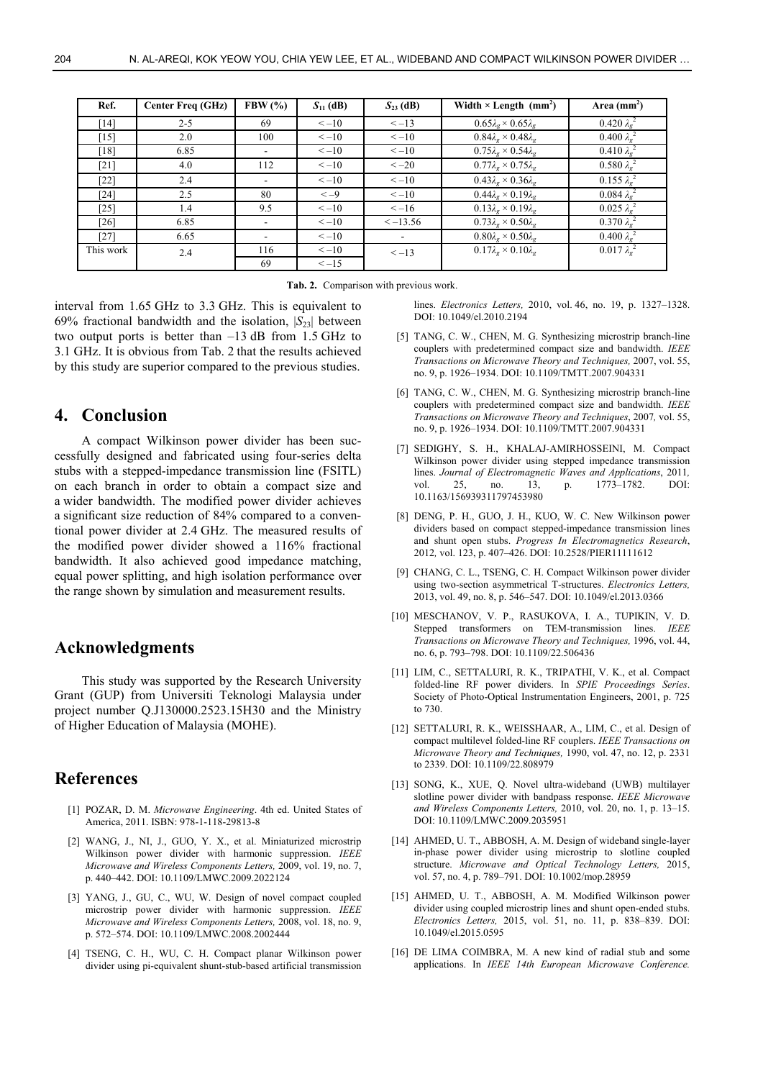| Ref.      | <b>Center Freq (GHz)</b> | FBW $(\% )$ | $S_{11}$ (dB) | $S_{23}$ (dB) | Width $\times$ Length (mm <sup>2</sup> )          | Area $(mm^2)$                |
|-----------|--------------------------|-------------|---------------|---------------|---------------------------------------------------|------------------------------|
| [14]      | $2 - 5$                  | 69          | $\leq -10$    | $<-13$        | $0.65\lambda_g \times 0.65\lambda_g$              | $0.420 \lambda_g^2$          |
| $[15]$    | 2.0                      | 100         | $\leq -10$    | $\leq -10$    | $0.84\lambda_{\rm F} \times 0.48\lambda_{\rm F}$  | $0.400 \lambda_{\rm g}^{2}$  |
| [18]      | 6.85                     |             | $\leq -10$    | $\leq -10$    | $0.75\lambda_{\sigma}\times 0.54\lambda_{\sigma}$ | $0.410 \lambda_{\sigma}^{2}$ |
| [21]      | 4.0                      | 112         | $\leq -10$    | $<-20$        | $0.77\lambda_g \times 0.75\lambda_g$              | $0.580 \lambda_{\sigma}^{2}$ |
| $[22]$    | 2.4                      |             | $\leq -10$    | $\leq -10$    | $0.43\lambda_{\rm F} \times 0.36\lambda_{\rm F}$  | $0.155 \lambda_{g}^{2}$      |
| [24]      | 2.5                      | 80          | $<-9$         | $\leq -10$    | $0.44\lambda_{\sigma}\times 0.19\lambda_{\sigma}$ | $0.084 \lambda_{\sigma}^{2}$ |
| $[25]$    | 1.4                      | 9.5         | $\leq -10$    | $\leq -16$    | $0.13\lambda_\sigma \times 0.19\lambda_\sigma$    | $0.025 \lambda_{\sigma}^{2}$ |
| $[26]$    | 6.85                     |             | $\leq -10$    | $\le -13.56$  | $0.73\lambda_{g} \times 0.50\lambda_{g}$          | $0.370 \lambda_{\sigma}^{2}$ |
| $[27]$    | 6.65                     |             | $\leq -10$    |               | $0.80\lambda_\sigma \times 0.50\lambda_\sigma$    | $0.400 \lambda_{\sigma}^{2}$ |
| This work | 2.4                      | 116         | $\leq -10$    | $<-13$        | $0.17\lambda_\sigma \times 0.10\lambda_\sigma$    | $0.017 \lambda_{\rm g}^{2}$  |
|           |                          | 69          | $\le -15$     |               |                                                   |                              |

**Tab. 2.** Comparison with previous work.

interval from 1.65 GHz to 3.3 GHz. This is equivalent to 69% fractional bandwidth and the isolation,  $|S_{23}|$  between two output ports is better than  $-13$  dB from 1.5 GHz to 3.1 GHz. It is obvious from Tab. 2 that the results achieved by this study are superior compared to the previous studies.

### **4. Conclusion**

A compact Wilkinson power divider has been successfully designed and fabricated using four-series delta stubs with a stepped-impedance transmission line (FSITL) on each branch in order to obtain a compact size and a wider bandwidth. The modified power divider achieves a significant size reduction of 84% compared to a conventional power divider at 2.4 GHz. The measured results of the modified power divider showed a 116% fractional bandwidth. It also achieved good impedance matching, equal power splitting, and high isolation performance over the range shown by simulation and measurement results.

### **Acknowledgments**

This study was supported by the Research University Grant (GUP) from Universiti Teknologi Malaysia under project number Q.J130000.2523.15H30 and the Ministry of Higher Education of Malaysia (MOHE).

### **References**

- [1] POZAR, D. M. *Microwave Engineering*. 4th ed. United States of America, 2011. ISBN: 978-1-118-29813-8
- [2] WANG, J., NI, J., GUO, Y. X., et al. Miniaturized microstrip Wilkinson power divider with harmonic suppression. *IEEE Microwave and Wireless Components Letters,* 2009, vol. 19, no. 7, p. 440–442. DOI: 10.1109/LMWC.2009.2022124
- [3] YANG, J., GU, C., WU, W. Design of novel compact coupled microstrip power divider with harmonic suppression. *IEEE Microwave and Wireless Components Letters,* 2008, vol. 18, no. 9, p. 572–574. DOI: 10.1109/LMWC.2008.2002444
- [4] TSENG, C. H., WU, C. H. Compact planar Wilkinson power divider using pi-equivalent shunt-stub-based artificial transmission

lines. *Electronics Letters,* 2010, vol. 46, no. 19, p. 1327–1328. DOI: 10.1049/el.2010.2194

- [5] TANG, C. W., CHEN, M. G. Synthesizing microstrip branch-line couplers with predetermined compact size and bandwidth. *IEEE Transactions on Microwave Theory and Techniques,* 2007, vol. 55, no. 9, p. 1926–1934. DOI: 10.1109/TMTT.2007.904331
- [6] TANG, C. W., CHEN, M. G. Synthesizing microstrip branch-line couplers with predetermined compact size and bandwidth. *IEEE Transactions on Microwave Theory and Techniques*, 2007*,* vol. 55, no. 9, p. 1926–1934. DOI: 10.1109/TMTT.2007.904331
- [7] SEDIGHY, S. H., KHALAJ-AMIRHOSSEINI, M. Compact Wilkinson power divider using stepped impedance transmission lines. *Journal of Electromagnetic Waves and Applications*, 2011*,* vol. 25, no. 13, p. 1773–1782. DOI: 10.1163/156939311797453980
- [8] DENG, P. H., GUO, J. H., KUO, W. C. New Wilkinson power dividers based on compact stepped-impedance transmission lines and shunt open stubs. *Progress In Electromagnetics Research*, 2012*,* vol. 123, p. 407–426. DOI: 10.2528/PIER11111612
- [9] CHANG, C. L., TSENG, C. H. Compact Wilkinson power divider using two-section asymmetrical T-structures. *Electronics Letters,* 2013, vol. 49, no. 8, p. 546–547. DOI: 10.1049/el.2013.0366
- [10] MESCHANOV, V. P., RASUKOVA, I. A., TUPIKIN, V. D. Stepped transformers on TEM-transmission lines. *IEEE Transactions on Microwave Theory and Techniques,* 1996, vol. 44, no. 6, p. 793–798. DOI: 10.1109/22.506436
- [11] LIM, C., SETTALURI, R. K., TRIPATHI, V. K., et al. Compact folded-line RF power dividers. In *SPIE Proceedings Series*. Society of Photo-Optical Instrumentation Engineers, 2001, p. 725 to 730.
- [12] SETTALURI, R. K., WEISSHAAR, A., LIM, C., et al. Design of compact multilevel folded-line RF couplers. *IEEE Transactions on Microwave Theory and Techniques,* 1990, vol. 47, no. 12, p. 2331 to 2339. DOI: 10.1109/22.808979
- [13] SONG, K., XUE, Q. Novel ultra-wideband (UWB) multilayer slotline power divider with bandpass response. *IEEE Microwave and Wireless Components Letters,* 2010, vol. 20, no. 1, p. 13–15. DOI: 10.1109/LMWC.2009.2035951
- [14] AHMED, U. T., ABBOSH, A. M. Design of wideband single-layer in-phase power divider using microstrip to slotline coupled structure. *Microwave and Optical Technology Letters,* 2015, vol. 57, no. 4, p. 789–791. DOI: 10.1002/mop.28959
- [15] AHMED, U. T., ABBOSH, A. M. Modified Wilkinson power divider using coupled microstrip lines and shunt open-ended stubs. *Electronics Letters,* 2015, vol. 51, no. 11, p. 838–839. DOI: 10.1049/el.2015.0595
- [16] DE LIMA COIMBRA, M. A new kind of radial stub and some applications. In *IEEE 14th European Microwave Conference.*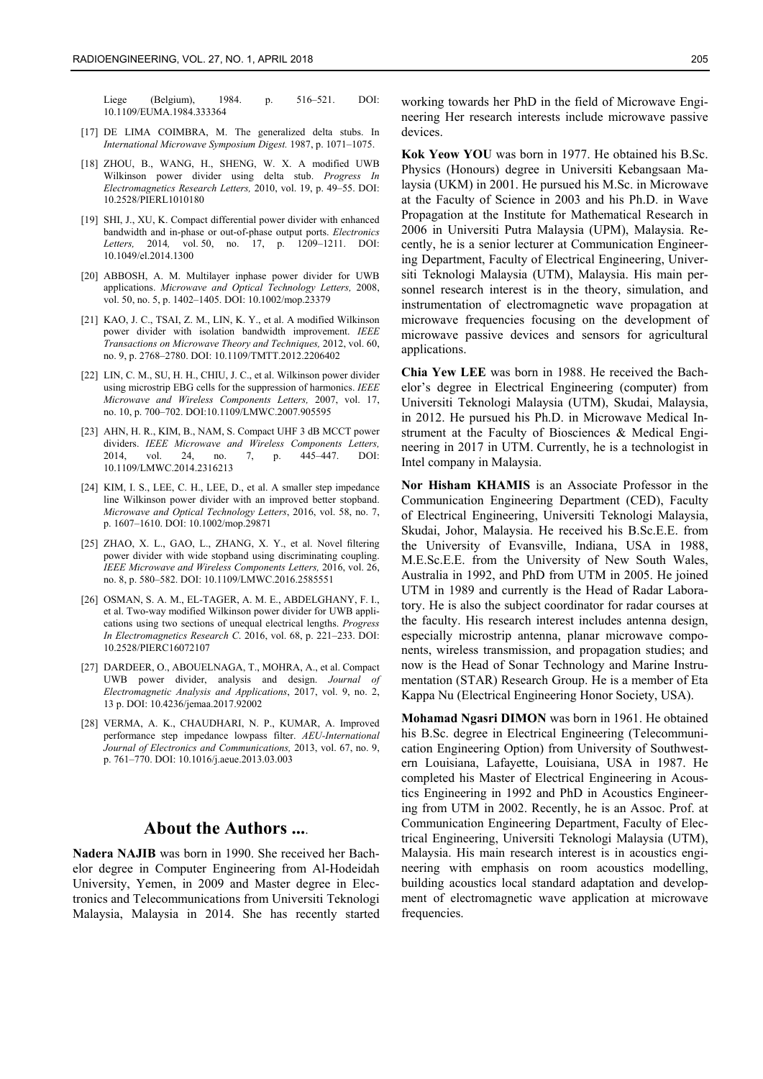Liege (Belgium), 1984. p. 516–521. DOI: 10.1109/EUMA.1984.333364

- [17] DE LIMA COIMBRA, M. The generalized delta stubs. In *International Microwave Symposium Digest.* 1987, p. 1071–1075.
- [18] ZHOU, B., WANG, H., SHENG, W. X. A modified UWB Wilkinson power divider using delta stub. *Progress In Electromagnetics Research Letters,* 2010, vol. 19, p. 49–55. DOI: 10.2528/PIERL1010180
- [19] SHI, J., XU, K. Compact differential power divider with enhanced bandwidth and in-phase or out-of-phase output ports. *Electronics Letters,* 2014*,* vol. 50, no. 17, p. 1209–1211. DOI: 10.1049/el.2014.1300
- [20] ABBOSH, A. M. Multilayer inphase power divider for UWB applications. *Microwave and Optical Technology Letters,* 2008, vol. 50, no. 5, p. 1402–1405. DOI: 10.1002/mop.23379
- [21] KAO, J. C., TSAI, Z. M., LIN, K. Y., et al. A modified Wilkinson power divider with isolation bandwidth improvement. *IEEE Transactions on Microwave Theory and Techniques,* 2012, vol. 60, no. 9, p. 2768–2780. DOI: 10.1109/TMTT.2012.2206402
- [22] LIN, C. M., SU, H. H., CHIU, J. C., et al. Wilkinson power divider using microstrip EBG cells for the suppression of harmonics. *IEEE Microwave and Wireless Components Letters,* 2007, vol. 17, no. 10, p. 700–702. DOI:10.1109/LMWC.2007.905595
- [23] AHN, H. R., KIM, B., NAM, S. Compact UHF 3 dB MCCT power dividers. *IEEE Microwave and Wireless Components Letters,*  2014, vol. 24, no. 7, p. 445–447. DOI: 10.1109/LMWC.2014.2316213
- [24] KIM, I. S., LEE, C. H., LEE, D., et al. A smaller step impedance line Wilkinson power divider with an improved better stopband. *Microwave and Optical Technology Letters*, 2016, vol. 58, no. 7, p. 1607–1610. DOI: 10.1002/mop.29871
- [25] ZHAO, X. L., GAO, L., ZHANG, X. Y., et al. Novel filtering power divider with wide stopband using discriminating coupling. *IEEE Microwave and Wireless Components Letters,* 2016, vol. 26, no. 8, p. 580–582. DOI: 10.1109/LMWC.2016.2585551
- [26] OSMAN, S. A. M., EL-TAGER, A. M. E., ABDELGHANY, F. I., et al. Two-way modified Wilkinson power divider for UWB applications using two sections of unequal electrical lengths. *Progress In Electromagnetics Research C*. 2016, vol. 68, p. 221–233. DOI: 10.2528/PIERC16072107
- [27] DARDEER, O., ABOUELNAGA, T., MOHRA, A., et al. Compact UWB power divider, analysis and design. *Journal of Electromagnetic Analysis and Applications*, 2017, vol. 9, no. 2, 13 p. DOI: 10.4236/jemaa.2017.92002
- [28] VERMA, A. K., CHAUDHARI, N. P., KUMAR, A. Improved performance step impedance lowpass filter. *AEU-International Journal of Electronics and Communications,* 2013, vol. 67, no. 9, p. 761–770. DOI: 10.1016/j.aeue.2013.03.003

### **About the Authors ...**.

**Nadera NAJIB** was born in 1990. She received her Bachelor degree in Computer Engineering from Al-Hodeidah University, Yemen, in 2009 and Master degree in Electronics and Telecommunications from Universiti Teknologi Malaysia, Malaysia in 2014. She has recently started working towards her PhD in the field of Microwave Engineering Her research interests include microwave passive devices.

**Kok Yeow YOU** was born in 1977. He obtained his B.Sc. Physics (Honours) degree in Universiti Kebangsaan Malaysia (UKM) in 2001. He pursued his M.Sc. in Microwave at the Faculty of Science in 2003 and his Ph.D. in Wave Propagation at the Institute for Mathematical Research in 2006 in Universiti Putra Malaysia (UPM), Malaysia. Recently, he is a senior lecturer at Communication Engineering Department, Faculty of Electrical Engineering, Universiti Teknologi Malaysia (UTM), Malaysia. His main personnel research interest is in the theory, simulation, and instrumentation of electromagnetic wave propagation at microwave frequencies focusing on the development of microwave passive devices and sensors for agricultural applications.

**Chia Yew LEE** was born in 1988. He received the Bachelor's degree in Electrical Engineering (computer) from Universiti Teknologi Malaysia (UTM), Skudai, Malaysia, in 2012. He pursued his Ph.D. in Microwave Medical Instrument at the Faculty of Biosciences & Medical Engineering in 2017 in UTM. Currently, he is a technologist in Intel company in Malaysia.

**Nor Hisham KHAMIS** is an Associate Professor in the Communication Engineering Department (CED), Faculty of Electrical Engineering, Universiti Teknologi Malaysia, Skudai, Johor, Malaysia. He received his B.Sc.E.E. from the University of Evansville, Indiana, USA in 1988, M.E.Sc.E.E. from the University of New South Wales, Australia in 1992, and PhD from UTM in 2005. He joined UTM in 1989 and currently is the Head of Radar Laboratory. He is also the subject coordinator for radar courses at the faculty. His research interest includes antenna design, especially microstrip antenna, planar microwave components, wireless transmission, and propagation studies; and now is the Head of Sonar Technology and Marine Instrumentation (STAR) Research Group. He is a member of Eta Kappa Nu (Electrical Engineering Honor Society, USA).

**Mohamad Ngasri DIMON** was born in 1961. He obtained his B.Sc. degree in Electrical Engineering (Telecommunication Engineering Option) from University of Southwestern Louisiana, Lafayette, Louisiana, USA in 1987. He completed his Master of Electrical Engineering in Acoustics Engineering in 1992 and PhD in Acoustics Engineering from UTM in 2002. Recently, he is an Assoc. Prof. at Communication Engineering Department, Faculty of Electrical Engineering, Universiti Teknologi Malaysia (UTM), Malaysia. His main research interest is in acoustics engineering with emphasis on room acoustics modelling, building acoustics local standard adaptation and development of electromagnetic wave application at microwave frequencies.